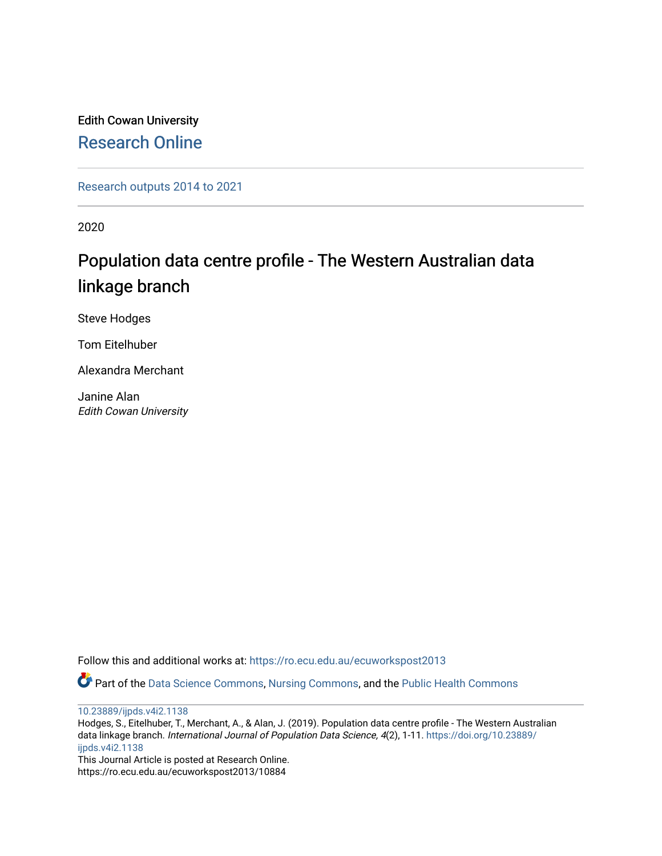Edith Cowan University [Research Online](https://ro.ecu.edu.au/) 

[Research outputs 2014 to 2021](https://ro.ecu.edu.au/ecuworkspost2013) 

2020

# Population data centre profile - The Western Australian data linkage branch

Steve Hodges

Tom Eitelhuber

Alexandra Merchant

Janine Alan Edith Cowan University

Follow this and additional works at: [https://ro.ecu.edu.au/ecuworkspost2013](https://ro.ecu.edu.au/ecuworkspost2013?utm_source=ro.ecu.edu.au%2Fecuworkspost2013%2F10884&utm_medium=PDF&utm_campaign=PDFCoverPages) 

Part of the [Data Science Commons,](http://network.bepress.com/hgg/discipline/1429?utm_source=ro.ecu.edu.au%2Fecuworkspost2013%2F10884&utm_medium=PDF&utm_campaign=PDFCoverPages) [Nursing Commons,](http://network.bepress.com/hgg/discipline/718?utm_source=ro.ecu.edu.au%2Fecuworkspost2013%2F10884&utm_medium=PDF&utm_campaign=PDFCoverPages) and the [Public Health Commons](http://network.bepress.com/hgg/discipline/738?utm_source=ro.ecu.edu.au%2Fecuworkspost2013%2F10884&utm_medium=PDF&utm_campaign=PDFCoverPages)

[10.23889/ijpds.v4i2.1138](http://dx.doi.org/10.23889/ijpds.v4i2.1138)

Hodges, S., Eitelhuber, T., Merchant, A., & Alan, J. (2019). Population data centre profile - The Western Australian data linkage branch. International Journal of Population Data Science, 4(2), 1-11. [https://doi.org/10.23889/](https://doi.org/10.23889/ijpds.v4i2.1138) [ijpds.v4i2.1138](https://doi.org/10.23889/ijpds.v4i2.1138) 

This Journal Article is posted at Research Online. https://ro.ecu.edu.au/ecuworkspost2013/10884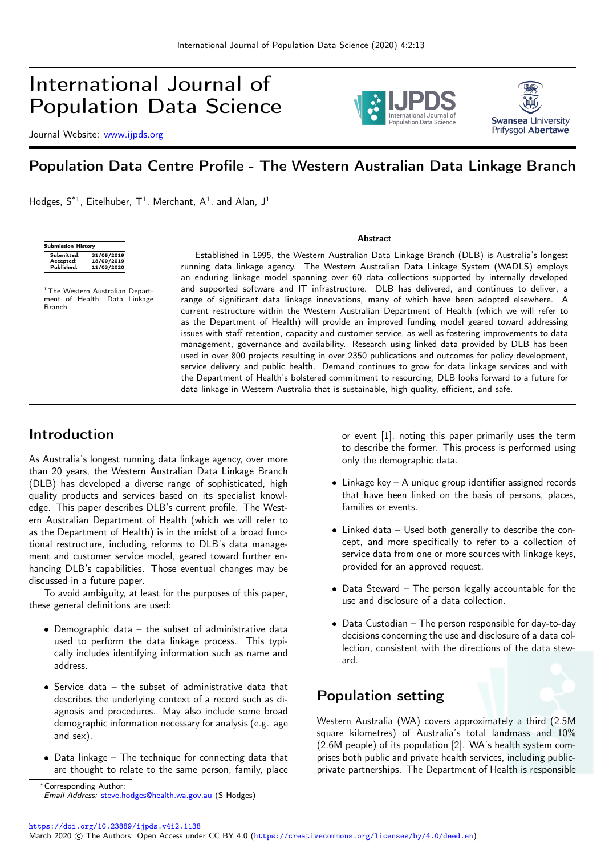

Journal Website: [www.ijpds.org](http://www.ijpds.org)





# Population Data Centre Profile - The Western Australian Data Linkage Branch

Hodges,  $S^{*1}$ , Eitelhuber,  $T^1$ , Merchant,  $A^1$ , and Alan, J<sup>1</sup>

| Submission History                    |                                        |  |  |
|---------------------------------------|----------------------------------------|--|--|
| Submitted:<br>Accepted:<br>Published: | 31/05/2019<br>18/09/2019<br>11/03/2020 |  |  |
|                                       |                                        |  |  |

<sup>1</sup>The Western Australian Department of Health, Data Linkage Branch

Established in 1995, the Western Australian Data Linkage Branch (DLB) is Australia's longest running data linkage agency. The Western Australian Data Linkage System (WADLS) employs an enduring linkage model spanning over 60 data collections supported by internally developed and supported software and IT infrastructure. DLB has delivered, and continues to deliver, a range of significant data linkage innovations, many of which have been adopted elsewhere. A current restructure within the Western Australian Department of Health (which we will refer to as the Department of Health) will provide an improved funding model geared toward addressing issues with staff retention, capacity and customer service, as well as fostering improvements to data management, governance and availability. Research using linked data provided by DLB has been used in over 800 projects resulting in over 2350 publications and outcomes for policy development, service delivery and public health. Demand continues to grow for data linkage services and with the Department of Health's bolstered commitment to resourcing, DLB looks forward to a future for data linkage in Western Australia that is sustainable, high quality, efficient, and safe.

Abstract

#### Introduction

As Australia's longest running data linkage agency, over more than 20 years, the Western Australian Data Linkage Branch (DLB) has developed a diverse range of sophisticated, high quality products and services based on its specialist knowledge. This paper describes DLB's current profile. The Western Australian Department of Health (which we will refer to as the Department of Health) is in the midst of a broad functional restructure, including reforms to DLB's data management and customer service model, geared toward further enhancing DLB's capabilities. Those eventual changes may be discussed in a future paper.

To avoid ambiguity, at least for the purposes of this paper, these general definitions are used:

- Demographic data the subset of administrative data used to perform the data linkage process. This typically includes identifying information such as name and address.
- Service data the subset of administrative data that describes the underlying context of a record such as diagnosis and procedures. May also include some broad demographic information necessary for analysis (e.g. age and sex).
- Data linkage The technique for connecting data that are thought to relate to the same person, family, place

or event [1], noting this paper primarily uses the term to describe the former. This process is performed using only the demographic data.

- Linkage key A unique group identifier assigned records that have been linked on the basis of persons, places, families or events.
- Linked data Used both generally to describe the concept, and more specifically to refer to a collection of service data from one or more sources with linkage keys, provided for an approved request.
- Data Steward The person legally accountable for the use and disclosure of a data collection.
- Data Custodian The person responsible for day-to-day decisions concerning the use and disclosure of a data collection, consistent with the directions of the data steward.

## Population setting

Western Australia (WA) covers approximately a third (2.5M square kilometres) of Australia's total landmass and 10% (2.6M people) of its population [2]. WA's health system comprises both public and private health services, including publicprivate partnerships. The Department of Health is responsible

<https://doi.org/10.23889/ijpds.v4i2.1138>

<sup>∗</sup>Corresponding Author: Email Address: [steve.hodges@health.wa.gov.au](mailto:steve.hodges@health.wa.gov.au) (S Hodges)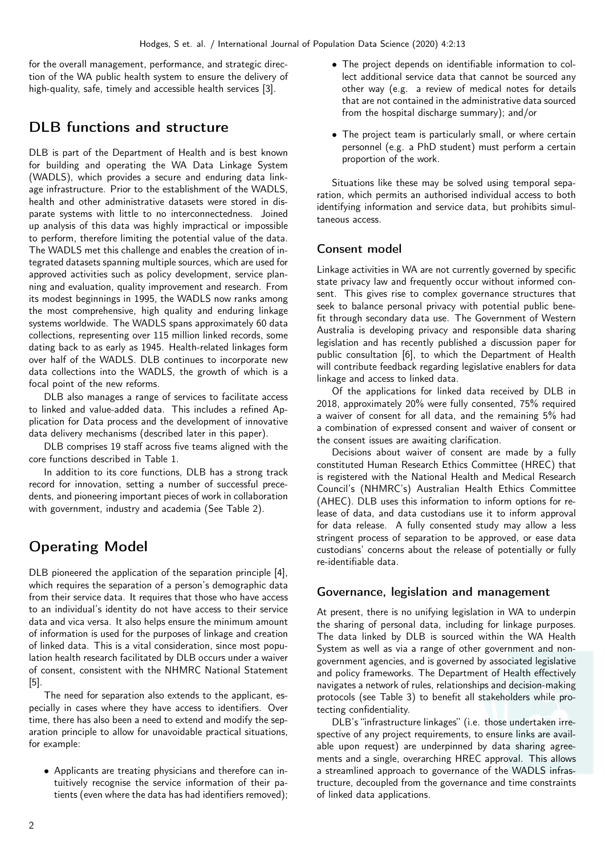for the overall management, performance, and strategic direction of the WA public health system to ensure the delivery of high-quality, safe, timely and accessible health services [3].

# DLB functions and structure

DLB is part of the Department of Health and is best known for building and operating the WA Data Linkage System (WADLS), which provides a secure and enduring data linkage infrastructure. Prior to the establishment of the WADLS, health and other administrative datasets were stored in disparate systems with little to no interconnectedness. Joined up analysis of this data was highly impractical or impossible to perform, therefore limiting the potential value of the data. The WADLS met this challenge and enables the creation of integrated datasets spanning multiple sources, which are used for approved activities such as policy development, service planning and evaluation, quality improvement and research. From its modest beginnings in 1995, the WADLS now ranks among the most comprehensive, high quality and enduring linkage systems worldwide. The WADLS spans approximately 60 data collections, representing over 115 million linked records, some dating back to as early as 1945. Health-related linkages form over half of the WADLS. DLB continues to incorporate new data collections into the WADLS, the growth of which is a focal point of the new reforms.

DLB also manages a range of services to facilitate access to linked and value-added data. This includes a refined Application for Data process and the development of innovative data delivery mechanisms (described later in this paper).

DLB comprises 19 staff across five teams aligned with the core functions described in Table 1.

In addition to its core functions, DLB has a strong track record for innovation, setting a number of successful precedents, and pioneering important pieces of work in collaboration with government, industry and academia (See Table 2).

# Operating Model

DLB pioneered the application of the separation principle [4], which requires the separation of a person's demographic data from their service data. It requires that those who have access to an individual's identity do not have access to their service data and vica versa. It also helps ensure the minimum amount of information is used for the purposes of linkage and creation of linked data. This is a vital consideration, since most population health research facilitated by DLB occurs under a waiver of consent, consistent with the NHMRC National Statement [5].

The need for separation also extends to the applicant, especially in cases where they have access to identifiers. Over time, there has also been a need to extend and modify the separation principle to allow for unavoidable practical situations, for example:

• Applicants are treating physicians and therefore can intuitively recognise the service information of their patients (even where the data has had identifiers removed);

- The project depends on identifiable information to collect additional service data that cannot be sourced any other way (e.g. a review of medical notes for details that are not contained in the administrative data sourced from the hospital discharge summary); and/or
- The project team is particularly small, or where certain personnel (e.g. a PhD student) must perform a certain proportion of the work.

Situations like these may be solved using temporal separation, which permits an authorised individual access to both identifying information and service data, but prohibits simultaneous access.

#### Consent model

Linkage activities in WA are not currently governed by specific state privacy law and frequently occur without informed consent. This gives rise to complex governance structures that seek to balance personal privacy with potential public benefit through secondary data use. The Government of Western Australia is developing privacy and responsible data sharing legislation and has recently published a discussion paper for public consultation [6], to which the Department of Health will contribute feedback regarding legislative enablers for data linkage and access to linked data.

Of the applications for linked data received by DLB in 2018, approximately 20% were fully consented, 75% required a waiver of consent for all data, and the remaining 5% had a combination of expressed consent and waiver of consent or the consent issues are awaiting clarification.

Decisions about waiver of consent are made by a fully constituted Human Research Ethics Committee (HREC) that is registered with the National Health and Medical Research Council's (NHMRC's) Australian Health Ethics Committee (AHEC). DLB uses this information to inform options for release of data, and data custodians use it to inform approval for data release. A fully consented study may allow a less stringent process of separation to be approved, or ease data custodians' concerns about the release of potentially or fully re-identifiable data.

#### Governance, legislation and management

At present, there is no unifying legislation in WA to underpin the sharing of personal data, including for linkage purposes. The data linked by DLB is sourced within the WA Health System as well as via a range of other government and nongovernment agencies, and is governed by associated legislative and policy frameworks. The Department of Health effectively navigates a network of rules, relationships and decision-making protocols (see Table 3) to benefit all stakeholders while protecting confidentiality.

DLB's "infrastructure linkages" (i.e. those undertaken irrespective of any project requirements, to ensure links are available upon request) are underpinned by data sharing agreements and a single, overarching HREC approval. This allows a streamlined approach to governance of the WADLS infrastructure, decoupled from the governance and time constraints of linked data applications.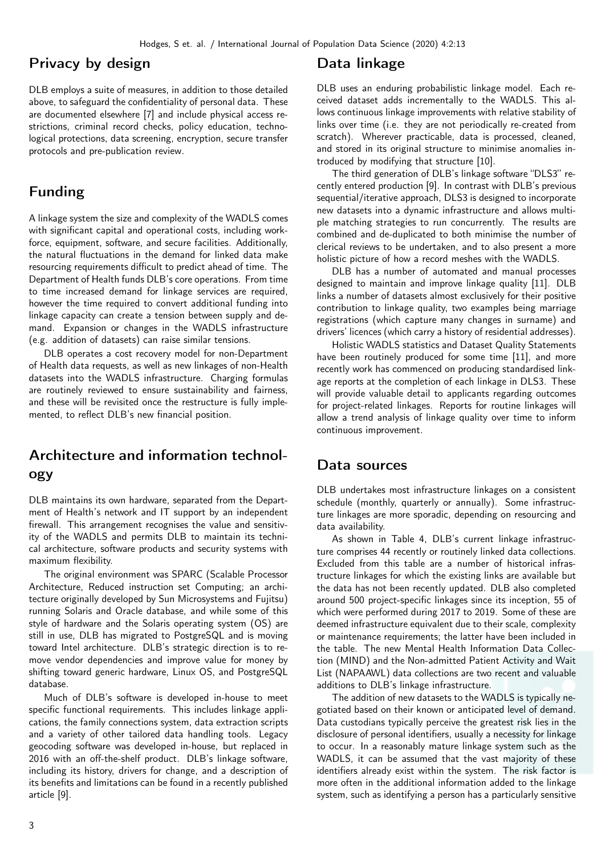#### Privacy by design

DLB employs a suite of measures, in addition to those detailed above, to safeguard the confidentiality of personal data. These are documented elsewhere [7] and include physical access restrictions, criminal record checks, policy education, technological protections, data screening, encryption, secure transfer protocols and pre-publication review.

### Funding

A linkage system the size and complexity of the WADLS comes with significant capital and operational costs, including workforce, equipment, software, and secure facilities. Additionally, the natural fluctuations in the demand for linked data make resourcing requirements difficult to predict ahead of time. The Department of Health funds DLB's core operations. From time to time increased demand for linkage services are required, however the time required to convert additional funding into linkage capacity can create a tension between supply and demand. Expansion or changes in the WADLS infrastructure (e.g. addition of datasets) can raise similar tensions.

DLB operates a cost recovery model for non-Department of Health data requests, as well as new linkages of non-Health datasets into the WADLS infrastructure. Charging formulas are routinely reviewed to ensure sustainability and fairness, and these will be revisited once the restructure is fully implemented, to reflect DLB's new financial position.

# Architecture and information technology

DLB maintains its own hardware, separated from the Department of Health's network and IT support by an independent firewall. This arrangement recognises the value and sensitivity of the WADLS and permits DLB to maintain its technical architecture, software products and security systems with maximum flexibility.

The original environment was SPARC (Scalable Processor Architecture, Reduced instruction set Computing; an architecture originally developed by Sun Microsystems and Fujitsu) running Solaris and Oracle database, and while some of this style of hardware and the Solaris operating system (OS) are still in use, DLB has migrated to PostgreSQL and is moving toward Intel architecture. DLB's strategic direction is to remove vendor dependencies and improve value for money by shifting toward generic hardware, Linux OS, and PostgreSQL database.

Much of DLB's software is developed in-house to meet specific functional requirements. This includes linkage applications, the family connections system, data extraction scripts and a variety of other tailored data handling tools. Legacy geocoding software was developed in-house, but replaced in 2016 with an off-the-shelf product. DLB's linkage software, including its history, drivers for change, and a description of its benefits and limitations can be found in a recently published article [9].

#### Data linkage

DLB uses an enduring probabilistic linkage model. Each received dataset adds incrementally to the WADLS. This allows continuous linkage improvements with relative stability of links over time (i.e. they are not periodically re-created from scratch). Wherever practicable, data is processed, cleaned, and stored in its original structure to minimise anomalies introduced by modifying that structure [10].

The third generation of DLB's linkage software "DLS3" recently entered production [9]. In contrast with DLB's previous sequential/iterative approach, DLS3 is designed to incorporate new datasets into a dynamic infrastructure and allows multiple matching strategies to run concurrently. The results are combined and de-duplicated to both minimise the number of clerical reviews to be undertaken, and to also present a more holistic picture of how a record meshes with the WADLS.

DLB has a number of automated and manual processes designed to maintain and improve linkage quality [11]. DLB links a number of datasets almost exclusively for their positive contribution to linkage quality, two examples being marriage registrations (which capture many changes in surname) and drivers' licences (which carry a history of residential addresses).

Holistic WADLS statistics and Dataset Quality Statements have been routinely produced for some time [11], and more recently work has commenced on producing standardised linkage reports at the completion of each linkage in DLS3. These will provide valuable detail to applicants regarding outcomes for project-related linkages. Reports for routine linkages will allow a trend analysis of linkage quality over time to inform continuous improvement.

#### Data sources

DLB undertakes most infrastructure linkages on a consistent schedule (monthly, quarterly or annually). Some infrastructure linkages are more sporadic, depending on resourcing and data availability.

As shown in Table 4, DLB's current linkage infrastructure comprises 44 recently or routinely linked data collections. Excluded from this table are a number of historical infrastructure linkages for which the existing links are available but the data has not been recently updated. DLB also completed around 500 project-specific linkages since its inception, 55 of which were performed during 2017 to 2019. Some of these are deemed infrastructure equivalent due to their scale, complexity or maintenance requirements; the latter have been included in the table. The new Mental Health Information Data Collection (MIND) and the Non-admitted Patient Activity and Wait List (NAPAAWL) data collections are two recent and valuable additions to DLB's linkage infrastructure.

The addition of new datasets to the WADLS is typically negotiated based on their known or anticipated level of demand. Data custodians typically perceive the greatest risk lies in the disclosure of personal identifiers, usually a necessity for linkage to occur. In a reasonably mature linkage system such as the WADLS, it can be assumed that the vast majority of these identifiers already exist within the system. The risk factor is more often in the additional information added to the linkage system, such as identifying a person has a particularly sensitive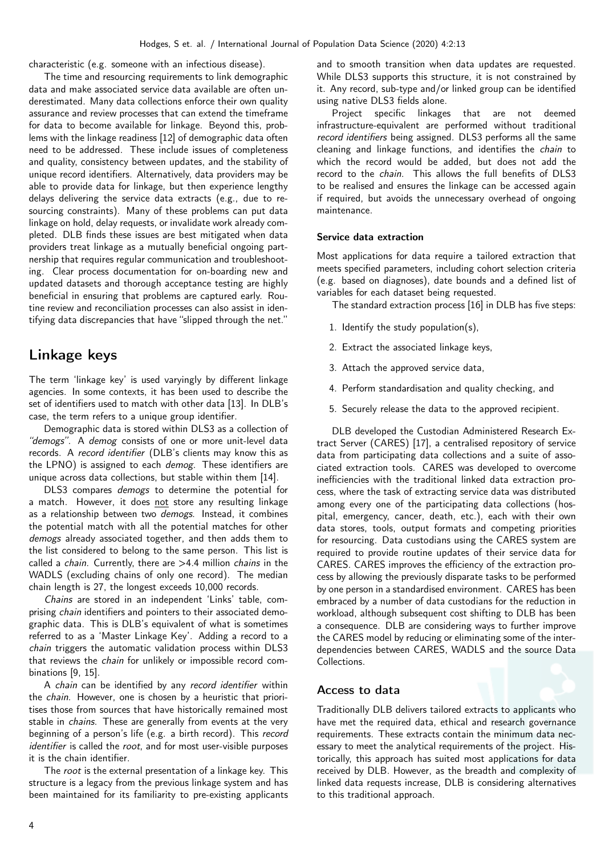characteristic (e.g. someone with an infectious disease).

The time and resourcing requirements to link demographic data and make associated service data available are often underestimated. Many data collections enforce their own quality assurance and review processes that can extend the timeframe for data to become available for linkage. Beyond this, problems with the linkage readiness [12] of demographic data often need to be addressed. These include issues of completeness and quality, consistency between updates, and the stability of unique record identifiers. Alternatively, data providers may be able to provide data for linkage, but then experience lengthy delays delivering the service data extracts (e.g., due to resourcing constraints). Many of these problems can put data linkage on hold, delay requests, or invalidate work already completed. DLB finds these issues are best mitigated when data providers treat linkage as a mutually beneficial ongoing partnership that requires regular communication and troubleshooting. Clear process documentation for on-boarding new and updated datasets and thorough acceptance testing are highly beneficial in ensuring that problems are captured early. Routine review and reconciliation processes can also assist in identifying data discrepancies that have "slipped through the net."

### Linkage keys

The term 'linkage key' is used varyingly by different linkage agencies. In some contexts, it has been used to describe the set of identifiers used to match with other data [13]. In DLB's case, the term refers to a unique group identifier.

Demographic data is stored within DLS3 as a collection of "demogs". A demog consists of one or more unit-level data records. A record identifier (DLB's clients may know this as the LPNO) is assigned to each demog. These identifiers are unique across data collections, but stable within them [14].

DLS3 compares demogs to determine the potential for a match. However, it does not store any resulting linkage as a relationship between two *demogs*. Instead, it combines the potential match with all the potential matches for other demogs already associated together, and then adds them to the list considered to belong to the same person. This list is called a *chain*. Currently, there are  $>4.4$  million *chains* in the WADLS (excluding chains of only one record). The median chain length is 27, the longest exceeds 10,000 records.

Chains are stored in an independent 'Links' table, comprising chain identifiers and pointers to their associated demographic data. This is DLB's equivalent of what is sometimes referred to as a 'Master Linkage Key'. Adding a record to a chain triggers the automatic validation process within DLS3 that reviews the chain for unlikely or impossible record combinations [9, 15].

A chain can be identified by any record identifier within the chain. However, one is chosen by a heuristic that prioritises those from sources that have historically remained most stable in *chains*. These are generally from events at the very beginning of a person's life (e.g. a birth record). This record identifier is called the root, and for most user-visible purposes it is the chain identifier.

The root is the external presentation of a linkage key. This structure is a legacy from the previous linkage system and has been maintained for its familiarity to pre-existing applicants

and to smooth transition when data updates are requested. While DLS3 supports this structure, it is not constrained by it. Any record, sub-type and/or linked group can be identified using native DLS3 fields alone.

Project specific linkages that are not deemed infrastructure-equivalent are performed without traditional record identifiers being assigned. DLS3 performs all the same cleaning and linkage functions, and identifies the chain to which the record would be added, but does not add the record to the chain. This allows the full benefits of DLS3 to be realised and ensures the linkage can be accessed again if required, but avoids the unnecessary overhead of ongoing maintenance.

#### Service data extraction

Most applications for data require a tailored extraction that meets specified parameters, including cohort selection criteria (e.g. based on diagnoses), date bounds and a defined list of variables for each dataset being requested.

The standard extraction process [16] in DLB has five steps:

- 1. Identify the study population(s),
- 2. Extract the associated linkage keys,
- 3. Attach the approved service data,
- 4. Perform standardisation and quality checking, and
- 5. Securely release the data to the approved recipient.

DLB developed the Custodian Administered Research Extract Server (CARES) [17], a centralised repository of service data from participating data collections and a suite of associated extraction tools. CARES was developed to overcome inefficiencies with the traditional linked data extraction process, where the task of extracting service data was distributed among every one of the participating data collections (hospital, emergency, cancer, death, etc.), each with their own data stores, tools, output formats and competing priorities for resourcing. Data custodians using the CARES system are required to provide routine updates of their service data for CARES. CARES improves the efficiency of the extraction process by allowing the previously disparate tasks to be performed by one person in a standardised environment. CARES has been embraced by a number of data custodians for the reduction in workload, although subsequent cost shifting to DLB has been a consequence. DLB are considering ways to further improve the CARES model by reducing or eliminating some of the interdependencies between CARES, WADLS and the source Data Collections.

#### Access to data

Traditionally DLB delivers tailored extracts to applicants who have met the required data, ethical and research governance requirements. These extracts contain the minimum data necessary to meet the analytical requirements of the project. Historically, this approach has suited most applications for data received by DLB. However, as the breadth and complexity of linked data requests increase, DLB is considering alternatives to this traditional approach.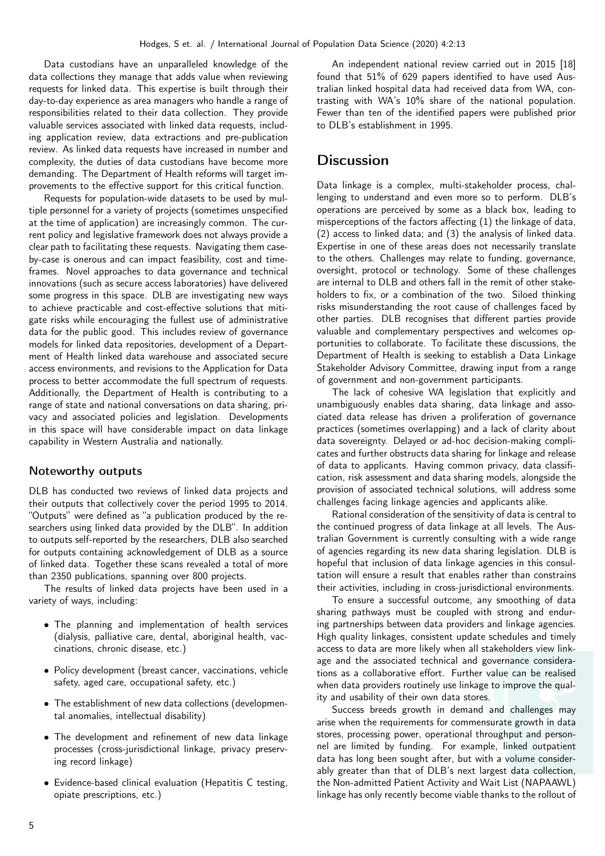Data custodians have an unparalleled knowledge of the data collections they manage that adds value when reviewing requests for linked data. This expertise is built through their day-to-day experience as area managers who handle a range of responsibilities related to their data collection. They provide valuable services associated with linked data requests, including application review, data extractions and pre-publication review. As linked data requests have increased in number and complexity, the duties of data custodians have become more demanding. The Department of Health reforms will target improvements to the effective support for this critical function.

Requests for population-wide datasets to be used by multiple personnel for a variety of projects (sometimes unspecified at the time of application) are increasingly common. The current policy and legislative framework does not always provide a clear path to facilitating these requests. Navigating them caseby-case is onerous and can impact feasibility, cost and timeframes. Novel approaches to data governance and technical innovations (such as secure access laboratories) have delivered some progress in this space. DLB are investigating new ways to achieve practicable and cost-effective solutions that mitigate risks while encouraging the fullest use of administrative data for the public good. This includes review of governance models for linked data repositories, development of a Department of Health linked data warehouse and associated secure access environments, and revisions to the Application for Data process to better accommodate the full spectrum of requests. Additionally, the Department of Health is contributing to a range of state and national conversations on data sharing, privacy and associated policies and legislation. Developments in this space will have considerable impact on data linkage capability in Western Australia and nationally.

#### Noteworthy outputs

DLB has conducted two reviews of linked data projects and their outputs that collectively cover the period 1995 to 2014. "Outputs" were defined as "a publication produced by the researchers using linked data provided by the DLB". In addition to outputs self-reported by the researchers, DLB also searched for outputs containing acknowledgement of DLB as a source of linked data. Together these scans revealed a total of more than 2350 publications, spanning over 800 projects.

The results of linked data projects have been used in a variety of ways, including:

- The planning and implementation of health services (dialysis, palliative care, dental, aboriginal health, vaccinations, chronic disease, etc.)
- Policy development (breast cancer, vaccinations, vehicle safety, aged care, occupational safety, etc.)
- The establishment of new data collections (developmental anomalies, intellectual disability)
- The development and refinement of new data linkage processes (cross-jurisdictional linkage, privacy preserving record linkage)
- Evidence-based clinical evaluation (Hepatitis C testing, opiate prescriptions, etc.)

An independent national review carried out in 2015 [18] found that 51% of 629 papers identified to have used Australian linked hospital data had received data from WA, contrasting with WA's 10% share of the national population. Fewer than ten of the identified papers were published prior to DLB's establishment in 1995.

### **Discussion**

Data linkage is a complex, multi-stakeholder process, challenging to understand and even more so to perform. DLB's operations are perceived by some as a black box, leading to misperceptions of the factors affecting (1) the linkage of data, (2) access to linked data; and (3) the analysis of linked data. Expertise in one of these areas does not necessarily translate to the others. Challenges may relate to funding, governance, oversight, protocol or technology. Some of these challenges are internal to DLB and others fall in the remit of other stakeholders to fix, or a combination of the two. Siloed thinking risks misunderstanding the root cause of challenges faced by other parties. DLB recognises that different parties provide valuable and complementary perspectives and welcomes opportunities to collaborate. To facilitate these discussions, the Department of Health is seeking to establish a Data Linkage Stakeholder Advisory Committee, drawing input from a range of government and non-government participants.

The lack of cohesive WA legislation that explicitly and unambiguously enables data sharing, data linkage and associated data release has driven a proliferation of governance practices (sometimes overlapping) and a lack of clarity about data sovereignty. Delayed or ad-hoc decision-making complicates and further obstructs data sharing for linkage and release of data to applicants. Having common privacy, data classification, risk assessment and data sharing models, alongside the provision of associated technical solutions, will address some challenges facing linkage agencies and applicants alike.

Rational consideration of the sensitivity of data is central to the continued progress of data linkage at all levels. The Australian Government is currently consulting with a wide range of agencies regarding its new data sharing legislation. DLB is hopeful that inclusion of data linkage agencies in this consultation will ensure a result that enables rather than constrains their activities, including in cross-jurisdictional environments.

To ensure a successful outcome, any smoothing of data sharing pathways must be coupled with strong and enduring partnerships between data providers and linkage agencies. High quality linkages, consistent update schedules and timely access to data are more likely when all stakeholders view linkage and the associated technical and governance considerations as a collaborative effort. Further value can be realised when data providers routinely use linkage to improve the quality and usability of their own data stores.

Success breeds growth in demand and challenges may arise when the requirements for commensurate growth in data stores, processing power, operational throughput and personnel are limited by funding. For example, linked outpatient data has long been sought after, but with a volume considerably greater than that of DLB's next largest data collection, the Non-admitted Patient Activity and Wait List (NAPAAWL) linkage has only recently become viable thanks to the rollout of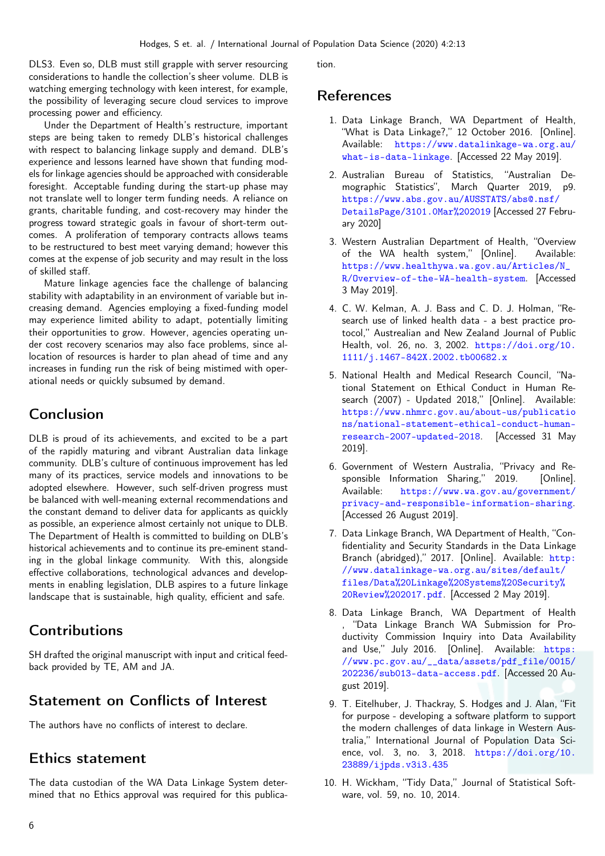DLS3. Even so, DLB must still grapple with server resourcing considerations to handle the collection's sheer volume. DLB is watching emerging technology with keen interest, for example, the possibility of leveraging secure cloud services to improve processing power and efficiency.

Under the Department of Health's restructure, important steps are being taken to remedy DLB's historical challenges with respect to balancing linkage supply and demand. DLB's experience and lessons learned have shown that funding models for linkage agencies should be approached with considerable foresight. Acceptable funding during the start-up phase may not translate well to longer term funding needs. A reliance on grants, charitable funding, and cost-recovery may hinder the progress toward strategic goals in favour of short-term outcomes. A proliferation of temporary contracts allows teams to be restructured to best meet varying demand; however this comes at the expense of job security and may result in the loss of skilled staff.

Mature linkage agencies face the challenge of balancing stability with adaptability in an environment of variable but increasing demand. Agencies employing a fixed-funding model may experience limited ability to adapt, potentially limiting their opportunities to grow. However, agencies operating under cost recovery scenarios may also face problems, since allocation of resources is harder to plan ahead of time and any increases in funding run the risk of being mistimed with operational needs or quickly subsumed by demand.

### Conclusion

DLB is proud of its achievements, and excited to be a part of the rapidly maturing and vibrant Australian data linkage community. DLB's culture of continuous improvement has led many of its practices, service models and innovations to be adopted elsewhere. However, such self-driven progress must be balanced with well-meaning external recommendations and the constant demand to deliver data for applicants as quickly as possible, an experience almost certainly not unique to DLB. The Department of Health is committed to building on DLB's historical achievements and to continue its pre-eminent standing in the global linkage community. With this, alongside effective collaborations, technological advances and developments in enabling legislation, DLB aspires to a future linkage landscape that is sustainable, high quality, efficient and safe.

## **Contributions**

SH drafted the original manuscript with input and critical feedback provided by TE, AM and JA.

## Statement on Conflicts of Interest

The authors have no conflicts of interest to declare.

#### Ethics statement

The data custodian of the WA Data Linkage System determined that no Ethics approval was required for this publication.

### References

- 1. Data Linkage Branch, WA Department of Health, "What is Data Linkage?," 12 October 2016. [Online]. Available: [https://www.datalinkage-wa.org.au/](https://www.datalinkage-wa.org.au/what-is-data-linkage) [what-is-data-linkage](https://www.datalinkage-wa.org.au/what-is-data-linkage). [Accessed 22 May 2019].
- 2. Australian Bureau of Statistics, "Australian Demographic Statistics", March Quarter 2019, p9. [https://www.abs.gov.au/AUSSTATS/abs@.nsf/](https://www.abs.gov.au/AUSSTATS/abs@.nsf/DetailsPage/3101.0Mar%202019) [DetailsPage/3101.0Mar%202019](https://www.abs.gov.au/AUSSTATS/abs@.nsf/DetailsPage/3101.0Mar%202019) [Accessed 27 February 2020]
- 3. Western Australian Department of Health, "Overview of the WA health system," [Online]. Available: [https://www.healthywa.wa.gov.au/Articles/N\\_](https://www.healthywa.wa.gov.au/Articles/N_R/Overview-of-the-WA-health-system) [R/Overview-of-the-WA-health-system](https://www.healthywa.wa.gov.au/Articles/N_R/Overview-of-the-WA-health-system). [Accessed 3 May 2019].
- 4. C. W. Kelman, A. J. Bass and C. D. J. Holman, "Research use of linked health data - a best practice protocol," Austrealian and New Zealand Journal of Public Health, vol. 26, no. 3, 2002. [https://doi.org/10.](https://doi.org/10.1111/j.1467-842X.2002.tb00682.x) [1111/j.1467-842X.2002.tb00682.x](https://doi.org/10.1111/j.1467-842X.2002.tb00682.x)
- 5. National Health and Medical Research Council, "National Statement on Ethical Conduct in Human Research (2007) - Updated 2018," [Online]. Available: [https://www.nhmrc.gov.au/about-us/publicatio](https://www.nhmrc.gov.au/about-us/publications/national-statement-ethical-conduct-human-research-2007-updated-2018) [ns/national-statement-ethical-conduct-human](https://www.nhmrc.gov.au/about-us/publications/national-statement-ethical-conduct-human-research-2007-updated-2018)[research-2007-updated-2018](https://www.nhmrc.gov.au/about-us/publications/national-statement-ethical-conduct-human-research-2007-updated-2018). [Accessed 31 May 2019].
- 6. Government of Western Australia, "Privacy and Responsible Information Sharing," 2019. [Online]. Available: [https://www.wa.gov.au/government/](https://www.wa.gov.au/government/privacy-and-responsible-information-sharing) [privacy-and-responsible-information-sharing](https://www.wa.gov.au/government/privacy-and-responsible-information-sharing). [Accessed 26 August 2019].
- 7. Data Linkage Branch, WA Department of Health, "Confidentiality and Security Standards in the Data Linkage Branch (abridged)," 2017. [Online]. Available: [http:](http://www.datalinkage-wa.org.au/sites/default/files/Data%20Linkage%20Systems%20Security%20Review%202017.pdf) [//www.datalinkage-wa.org.au/sites/default/](http://www.datalinkage-wa.org.au/sites/default/files/Data%20Linkage%20Systems%20Security%20Review%202017.pdf) [files/Data%20Linkage%20Systems%20Security%](http://www.datalinkage-wa.org.au/sites/default/files/Data%20Linkage%20Systems%20Security%20Review%202017.pdf) [20Review%202017.pdf](http://www.datalinkage-wa.org.au/sites/default/files/Data%20Linkage%20Systems%20Security%20Review%202017.pdf). [Accessed 2 May 2019].
- 8. Data Linkage Branch, WA Department of Health , "Data Linkage Branch WA Submission for Productivity Commission Inquiry into Data Availability and Use," July 2016. [Online]. Available: [https:](https://www.pc.gov.au/__data/assets/pdf_file/0015/202236/sub013-data-access.pdf) [//www.pc.gov.au/\\_\\_data/assets/pdf\\_file/0015/](https://www.pc.gov.au/__data/assets/pdf_file/0015/202236/sub013-data-access.pdf) [202236/sub013-data-access.pdf](https://www.pc.gov.au/__data/assets/pdf_file/0015/202236/sub013-data-access.pdf). [Accessed 20 August 2019].
- 9. T. Eitelhuber, J. Thackray, S. Hodges and J. Alan, "Fit for purpose - developing a software platform to support the modern challenges of data linkage in Western Australia," International Journal of Population Data Science, vol. 3, no. 3, 2018. [https://doi.org/10.](https://doi.org/10.23889/ijpds.v3i3.435) [23889/ijpds.v3i3.435](https://doi.org/10.23889/ijpds.v3i3.435)
- 10. H. Wickham, "Tidy Data," Journal of Statistical Software, vol. 59, no. 10, 2014.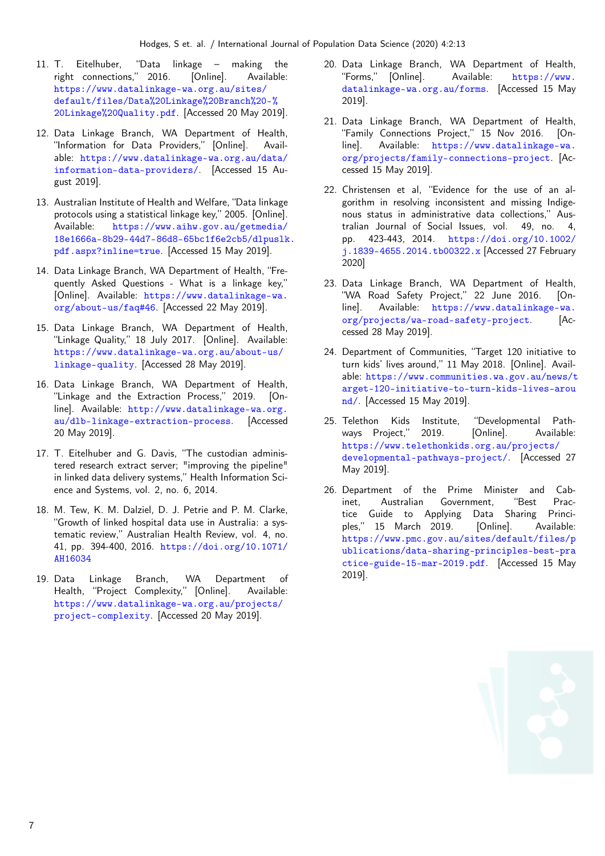- 11. T. Eitelhuber, "Data linkage making the right connections," 2016. [Online]. Available: [https://www.datalinkage-wa.org.au/sites/](https://www.datalinkage-wa.org.au/sites/default/files/Data%20Linkage%20Branch%20-%20Linkage%20Quality.pdf) [default/files/Data%20Linkage%20Branch%20-%](https://www.datalinkage-wa.org.au/sites/default/files/Data%20Linkage%20Branch%20-%20Linkage%20Quality.pdf) [20Linkage%20Quality.pdf](https://www.datalinkage-wa.org.au/sites/default/files/Data%20Linkage%20Branch%20-%20Linkage%20Quality.pdf). [Accessed 20 May 2019].
- 12. Data Linkage Branch, WA Department of Health, "Information for Data Providers," [Online]. Available: [https://www.datalinkage-wa.org.au/data/](https://www.datalinkage-wa.org.au/data/information-data-providers/) [information-data-providers/](https://www.datalinkage-wa.org.au/data/information-data-providers/). [Accessed 15 August 2019].
- 13. Australian Institute of Health and Welfare, "Data linkage protocols using a statistical linkage key," 2005. [Online]. Available: [https://www.aihw.gov.au/getmedia/](https://www.aihw.gov.au/getmedia/18e1666a-8b29-44d7-86d8-65bc1f6e2cb5/dlpuslk.pdf.aspx?inline=true) [18e1666a-8b29-44d7-86d8-65bc1f6e2cb5/dlpuslk](https://www.aihw.gov.au/getmedia/18e1666a-8b29-44d7-86d8-65bc1f6e2cb5/dlpuslk.pdf.aspx?inline=true). [pdf.aspx?inline=true](https://www.aihw.gov.au/getmedia/18e1666a-8b29-44d7-86d8-65bc1f6e2cb5/dlpuslk.pdf.aspx?inline=true). [Accessed 15 May 2019].
- 14. Data Linkage Branch, WA Department of Health, "Frequently Asked Questions - What is a linkage key," [Online]. Available: [https://www.datalinkage-wa.](https://www.datalinkage-wa.org/about-us/faq#46) [org/about-us/faq#46](https://www.datalinkage-wa.org/about-us/faq#46). [Accessed 22 May 2019].
- 15. Data Linkage Branch, WA Department of Health, "Linkage Quality," 18 July 2017. [Online]. Available: [https://www.datalinkage-wa.org.au/about-us/](https://www.datalinkage-wa.org.au/about-us/linkage-quality) [linkage-quality](https://www.datalinkage-wa.org.au/about-us/linkage-quality). [Accessed 28 May 2019].
- 16. Data Linkage Branch, WA Department of Health, "Linkage and the Extraction Process," 2019. [Online]. Available: [http://www.datalinkage-wa.org.](http://www.datalinkage-wa.org.au/dlb-linkage-extraction-process) [au/dlb-linkage-extraction-process](http://www.datalinkage-wa.org.au/dlb-linkage-extraction-process). [Accessed 20 May 2019].
- 17. T. Eitelhuber and G. Davis, "The custodian administered research extract server; "improving the pipeline" in linked data delivery systems," Health Information Science and Systems, vol. 2, no. 6, 2014.
- 18. M. Tew, K. M. Dalziel, D. J. Petrie and P. M. Clarke, "Growth of linked hospital data use in Australia: a systematic review," Australian Health Review, vol. 4, no. 41, pp. 394-400, 2016. [https://doi.org/10.1071/](https://doi.org/10.1071/AH16034) [AH16034](https://doi.org/10.1071/AH16034)
- 19. Data Linkage Branch, WA Department of Health, "Project Complexity," [Online]. Available: [https://www.datalinkage-wa.org.au/projects/](https://www.datalinkage-wa.org.au/projects/project-complexity) [project-complexity](https://www.datalinkage-wa.org.au/projects/project-complexity). [Accessed 20 May 2019].
- 20. Data Linkage Branch, WA Department of Health, "Forms," [Online]. Available: [https://www.](https://www.datalinkage-wa.org.au/forms) [datalinkage-wa.org.au/forms](https://www.datalinkage-wa.org.au/forms). [Accessed 15 May 2019].
- 21. Data Linkage Branch, WA Department of Health, "Family Connections Project," 15 Nov 2016. [Online]. Available: [https://www.datalinkage-wa.](https://www.datalinkage-wa.org/projects/family-connections-project) [org/projects/family-connections-project](https://www.datalinkage-wa.org/projects/family-connections-project). [Accessed 15 May 2019].
- 22. Christensen et al, "Evidence for the use of an algorithm in resolving inconsistent and missing Indigenous status in administrative data collections," Australian Journal of Social Issues, vol. 49, no. 4, pp. 423-443, 2014. [https://doi.org/10.1002/](https://doi.org/10.1002/j.1839-4655.2014.tb00322.x) [j.1839-4655.2014.tb00322.x](https://doi.org/10.1002/j.1839-4655.2014.tb00322.x) [Accessed 27 February 2020]
- 23. Data Linkage Branch, WA Department of Health, "WA Road Safety Project," 22 June 2016. [Online]. Available: [https://www.datalinkage-wa.](https://www.datalinkage-wa.org/projects/wa-road-safety-project) [org/projects/wa-road-safety-project](https://www.datalinkage-wa.org/projects/wa-road-safety-project). [Accessed 28 May 2019].
- 24. Department of Communities, "Target 120 initiative to turn kids' lives around," 11 May 2018. [Online]. Available: [https://www.communities.wa.gov.au/news/t](https://www.communities.wa.gov.au/news/target-120-initiative-to-turn-kids-lives-around/) [arget-120-initiative-to-turn-kids-lives-arou](https://www.communities.wa.gov.au/news/target-120-initiative-to-turn-kids-lives-around/) [nd/](https://www.communities.wa.gov.au/news/target-120-initiative-to-turn-kids-lives-around/). [Accessed 15 May 2019].
- 25. Telethon Kids Institute, "Developmental Pathways Project," 2019. [Online]. Available: [https://www.telethonkids.org.au/projects/](https://www.telethonkids.org.au/projects/developmental-pathways-project/) [developmental-pathways-project/](https://www.telethonkids.org.au/projects/developmental-pathways-project/). [Accessed 27 May 2019].
- 26. Department of the Prime Minister and Cabinet, Australian Government, "Best Practice Guide to Applying Data Sharing Principles," 15 March 2019. [Online]. Available: [https://www.pmc.gov.au/sites/default/files/p](https://www.pmc.gov.au/sites/default/files/publications/data-sharing-principles-best-practice-guide-15-mar-2019.pdf) [ublications/data-sharing-principles-best-pra](https://www.pmc.gov.au/sites/default/files/publications/data-sharing-principles-best-practice-guide-15-mar-2019.pdf) [ctice-guide-15-mar-2019.pdf](https://www.pmc.gov.au/sites/default/files/publications/data-sharing-principles-best-practice-guide-15-mar-2019.pdf). [Accessed 15 May 2019].

7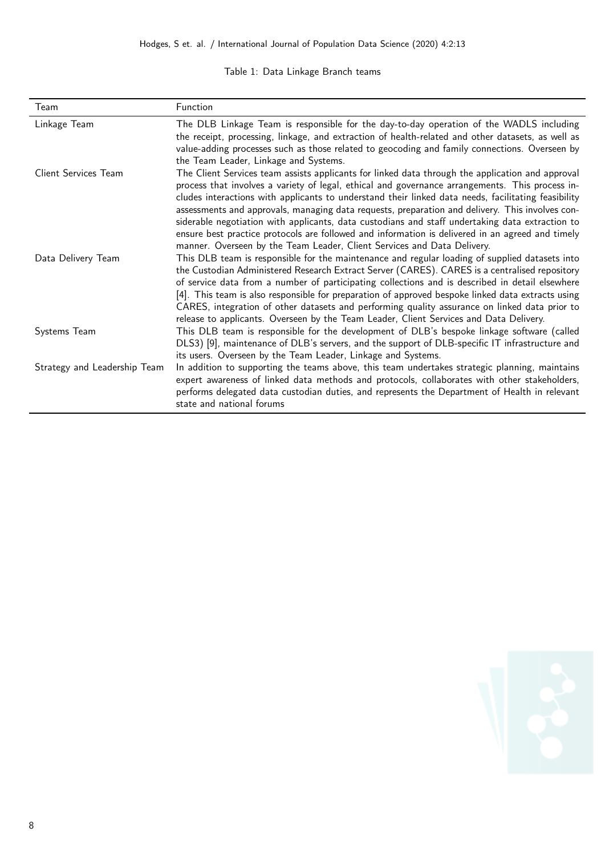#### Table 1: Data Linkage Branch teams

| Team                         | Function                                                                                                                                                                                                                                                                                                                                                                                                                                                                                                                                                                                                                                                                                        |
|------------------------------|-------------------------------------------------------------------------------------------------------------------------------------------------------------------------------------------------------------------------------------------------------------------------------------------------------------------------------------------------------------------------------------------------------------------------------------------------------------------------------------------------------------------------------------------------------------------------------------------------------------------------------------------------------------------------------------------------|
| Linkage Team                 | The DLB Linkage Team is responsible for the day-to-day operation of the WADLS including<br>the receipt, processing, linkage, and extraction of health-related and other datasets, as well as<br>value-adding processes such as those related to geocoding and family connections. Overseen by<br>the Team Leader, Linkage and Systems.                                                                                                                                                                                                                                                                                                                                                          |
| Client Services Team         | The Client Services team assists applicants for linked data through the application and approval<br>process that involves a variety of legal, ethical and governance arrangements. This process in-<br>cludes interactions with applicants to understand their linked data needs, facilitating feasibility<br>assessments and approvals, managing data requests, preparation and delivery. This involves con-<br>siderable negotiation with applicants, data custodians and staff undertaking data extraction to<br>ensure best practice protocols are followed and information is delivered in an agreed and timely<br>manner. Overseen by the Team Leader, Client Services and Data Delivery. |
| Data Delivery Team           | This DLB team is responsible for the maintenance and regular loading of supplied datasets into<br>the Custodian Administered Research Extract Server (CARES). CARES is a centralised repository<br>of service data from a number of participating collections and is described in detail elsewhere<br>[4]. This team is also responsible for preparation of approved bespoke linked data extracts using<br>CARES, integration of other datasets and performing quality assurance on linked data prior to<br>release to applicants. Overseen by the Team Leader, Client Services and Data Delivery.                                                                                              |
| Systems Team                 | This DLB team is responsible for the development of DLB's bespoke linkage software (called<br>DLS3) [9], maintenance of DLB's servers, and the support of DLB-specific IT infrastructure and<br>its users. Overseen by the Team Leader, Linkage and Systems.                                                                                                                                                                                                                                                                                                                                                                                                                                    |
| Strategy and Leadership Team | In addition to supporting the teams above, this team undertakes strategic planning, maintains<br>expert awareness of linked data methods and protocols, collaborates with other stakeholders,<br>performs delegated data custodian duties, and represents the Department of Health in relevant<br>state and national forums                                                                                                                                                                                                                                                                                                                                                                     |

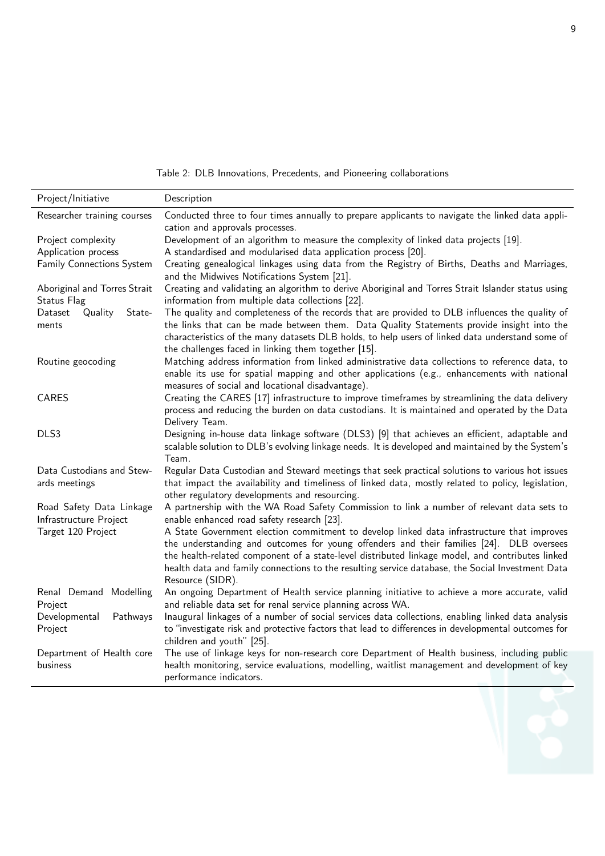Table 2: DLB Innovations, Precedents, and Pioneering collaborations

| Project/Initiative                           | Description                                                                                                                              |  |  |  |  |
|----------------------------------------------|------------------------------------------------------------------------------------------------------------------------------------------|--|--|--|--|
| Researcher training courses                  | Conducted three to four times annually to prepare applicants to navigate the linked data appli-                                          |  |  |  |  |
|                                              | cation and approvals processes.                                                                                                          |  |  |  |  |
| Project complexity                           | Development of an algorithm to measure the complexity of linked data projects [19].                                                      |  |  |  |  |
| Application process                          | A standardised and modularised data application process [20].                                                                            |  |  |  |  |
| Family Connections System                    | Creating genealogical linkages using data from the Registry of Births, Deaths and Marriages,                                             |  |  |  |  |
|                                              | and the Midwives Notifications System [21].                                                                                              |  |  |  |  |
| Aboriginal and Torres Strait                 | Creating and validating an algorithm to derive Aboriginal and Torres Strait Islander status using                                        |  |  |  |  |
| Status Flag                                  | information from multiple data collections [22].                                                                                         |  |  |  |  |
| Quality<br>Dataset<br>State-                 | The quality and completeness of the records that are provided to DLB influences the quality of                                           |  |  |  |  |
| ments                                        | the links that can be made between them. Data Quality Statements provide insight into the                                                |  |  |  |  |
|                                              | characteristics of the many datasets DLB holds, to help users of linked data understand some of                                          |  |  |  |  |
|                                              | the challenges faced in linking them together [15].                                                                                      |  |  |  |  |
| Routine geocoding                            | Matching address information from linked administrative data collections to reference data, to                                           |  |  |  |  |
|                                              | enable its use for spatial mapping and other applications (e.g., enhancements with national                                              |  |  |  |  |
|                                              | measures of social and locational disadvantage).                                                                                         |  |  |  |  |
| <b>CARES</b>                                 | Creating the CARES [17] infrastructure to improve timeframes by streamlining the data delivery                                           |  |  |  |  |
|                                              | process and reducing the burden on data custodians. It is maintained and operated by the Data                                            |  |  |  |  |
|                                              | Delivery Team.                                                                                                                           |  |  |  |  |
| DLS3                                         | Designing in-house data linkage software (DLS3) [9] that achieves an efficient, adaptable and                                            |  |  |  |  |
|                                              | scalable solution to DLB's evolving linkage needs. It is developed and maintained by the System's                                        |  |  |  |  |
|                                              | Team.                                                                                                                                    |  |  |  |  |
| Data Custodians and Stew-                    | Regular Data Custodian and Steward meetings that seek practical solutions to various hot issues                                          |  |  |  |  |
| ards meetings                                | that impact the availability and timeliness of linked data, mostly related to policy, legislation,                                       |  |  |  |  |
|                                              | other regulatory developments and resourcing.                                                                                            |  |  |  |  |
| Road Safety Data Linkage                     | A partnership with the WA Road Safety Commission to link a number of relevant data sets to                                               |  |  |  |  |
| Infrastructure Project<br>Target 120 Project | enable enhanced road safety research [23].<br>A State Government election commitment to develop linked data infrastructure that improves |  |  |  |  |
|                                              | the understanding and outcomes for young offenders and their families [24]. DLB oversees                                                 |  |  |  |  |
|                                              | the health-related component of a state-level distributed linkage model, and contributes linked                                          |  |  |  |  |
|                                              | health data and family connections to the resulting service database, the Social Investment Data                                         |  |  |  |  |
|                                              | Resource (SIDR).                                                                                                                         |  |  |  |  |
| Renal Demand Modelling                       | An ongoing Department of Health service planning initiative to achieve a more accurate, valid                                            |  |  |  |  |
| Project                                      | and reliable data set for renal service planning across WA.                                                                              |  |  |  |  |
| Developmental<br>Pathways                    | Inaugural linkages of a number of social services data collections, enabling linked data analysis                                        |  |  |  |  |
| Project                                      | to "investigate risk and protective factors that lead to differences in developmental outcomes for                                       |  |  |  |  |
|                                              | children and youth" [25].                                                                                                                |  |  |  |  |
| Department of Health core                    | The use of linkage keys for non-research core Department of Health business, including public                                            |  |  |  |  |
| business                                     | health monitoring, service evaluations, modelling, waitlist management and development of key                                            |  |  |  |  |
|                                              | performance indicators.                                                                                                                  |  |  |  |  |
|                                              |                                                                                                                                          |  |  |  |  |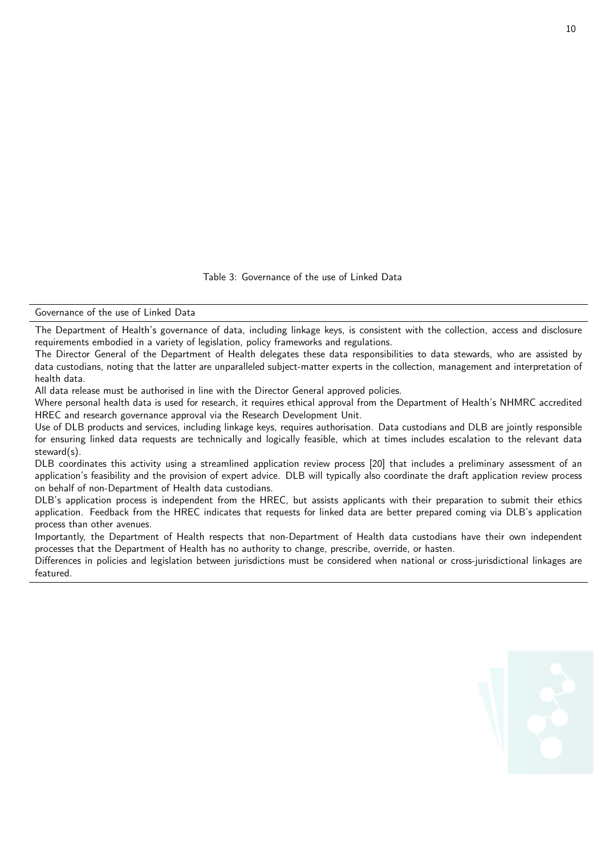Table 3: Governance of the use of Linked Data

Governance of the use of Linked Data

The Department of Health's governance of data, including linkage keys, is consistent with the collection, access and disclosure requirements embodied in a variety of legislation, policy frameworks and regulations.

The Director General of the Department of Health delegates these data responsibilities to data stewards, who are assisted by data custodians, noting that the latter are unparalleled subject-matter experts in the collection, management and interpretation of health data.

All data release must be authorised in line with the Director General approved policies.

Where personal health data is used for research, it requires ethical approval from the Department of Health's NHMRC accredited HREC and research governance approval via the Research Development Unit.

Use of DLB products and services, including linkage keys, requires authorisation. Data custodians and DLB are jointly responsible for ensuring linked data requests are technically and logically feasible, which at times includes escalation to the relevant data steward(s).

DLB coordinates this activity using a streamlined application review process [20] that includes a preliminary assessment of an application's feasibility and the provision of expert advice. DLB will typically also coordinate the draft application review process on behalf of non-Department of Health data custodians.

DLB's application process is independent from the HREC, but assists applicants with their preparation to submit their ethics application. Feedback from the HREC indicates that requests for linked data are better prepared coming via DLB's application process than other avenues.

Importantly, the Department of Health respects that non-Department of Health data custodians have their own independent processes that the Department of Health has no authority to change, prescribe, override, or hasten.

Differences in policies and legislation between jurisdictions must be considered when national or cross-jurisdictional linkages are featured.